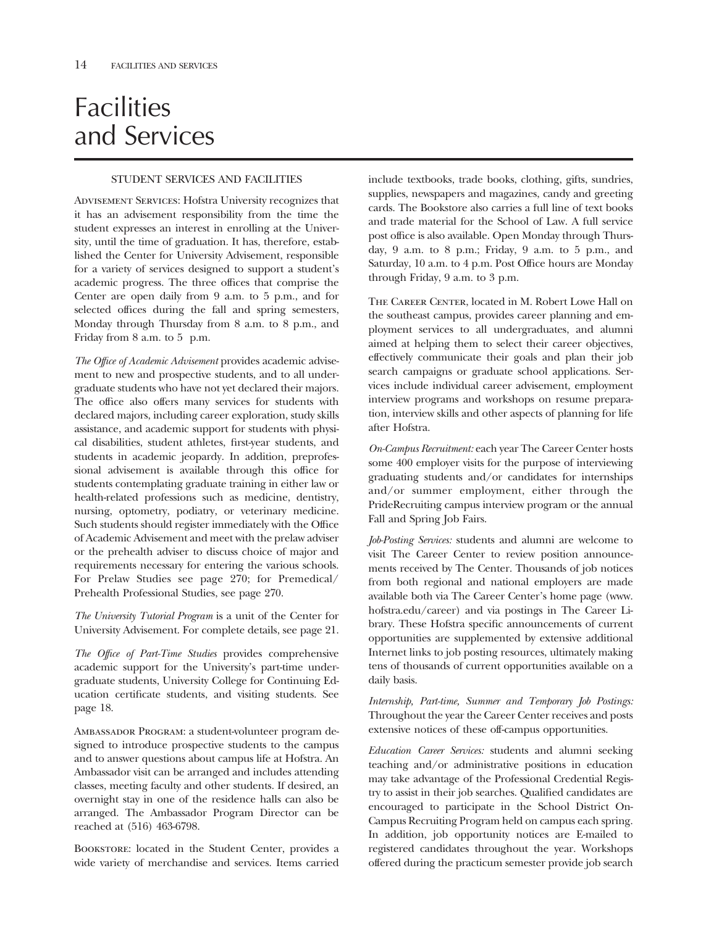# **Facilities** and Services

# STUDENT SERVICES AND FACILITIES

Advisement Services: Hofstra University recognizes that it has an advisement responsibility from the time the student expresses an interest in enrolling at the University, until the time of graduation. It has, therefore, established the Center for University Advisement, responsible for a variety of services designed to support a student's academic progress. The three offices that comprise the Center are open daily from 9 a.m. to 5 p.m., and for selected offices during the fall and spring semesters, Monday through Thursday from 8 a.m. to 8 p.m., and Friday from 8 a.m. to 5 p.m.

*The Office of Academic Advisement* provides academic advisement to new and prospective students, and to all undergraduate students who have not yet declared their majors. The office also offers many services for students with declared majors, including career exploration, study skills assistance, and academic support for students with physical disabilities, student athletes, frst-year students, and students in academic jeopardy. In addition, preprofessional advisement is available through this office for students contemplating graduate training in either law or health-related professions such as medicine, dentistry, nursing, optometry, podiatry, or veterinary medicine. Such students should register immediately with the Office of Academic Advisement and meet with the prelaw adviser or the prehealth adviser to discuss choice of major and requirements necessary for entering the various schools. For Prelaw Studies see page 270; for Premedical/ Prehealth Professional Studies, see page 270.

*The University Tutorial Program* is a unit of the Center for University Advisement. For complete details, see page 21.

*The Office of Part-Time Studies* provides comprehensive academic support for the University's part-time undergraduate students, University College for Continuing Education certifcate students, and visiting students. See page 18.

Ambassador Program: a student-volunteer program designed to introduce prospective students to the campus and to answer questions about campus life at Hofstra. An Ambassador visit can be arranged and includes attending classes, meeting faculty and other students. If desired, an overnight stay in one of the residence halls can also be arranged. The Ambassador Program Director can be reached at (516) 463-6798.

Bookstore: located in the Student Center, provides a wide variety of merchandise and services. Items carried

include textbooks, trade books, clothing, gifts, sundries, supplies, newspapers and magazines, candy and greeting cards. The Bookstore also carries a full line of text books and trade material for the School of Law. A full service post office is also available. Open Monday through Thursday, 9 a.m. to 8 p.m.; Friday, 9 a.m. to 5 p.m., and Saturday, 10 a.m. to 4 p.m. Post Office hours are Monday through Friday, 9 a.m. to 3 p.m.

THE CAREER CENTER, located in M. Robert Lowe Hall on the southeast campus, provides career planning and employment services to all undergraduates, and alumni aimed at helping them to select their career objectives, effectively communicate their goals and plan their job search campaigns or graduate school applications. Services include individual career advisement, employment interview programs and workshops on resume preparation, interview skills and other aspects of planning for life after Hofstra.

*On-Campus Recruitment:* each year The Career Center hosts some 400 employer visits for the purpose of interviewing graduating students and/or candidates for internships and/or summer employment, either through the PrideRecruiting campus interview program or the annual Fall and Spring Job Fairs.

*Job-Posting Services:* students and alumni are welcome to visit The Career Center to review position announcements received by The Center. Thousands of job notices from both regional and national employers are made available both via The Career Center's home page (www. hofstra.edu/career) and via postings in The Career Library. These Hofstra specifc announcements of current opportunities are supplemented by extensive additional Internet links to job posting resources, ultimately making tens of thousands of current opportunities available on a daily basis.

*Internship, Part-time, Summer and Temporary Job Postings:*  Throughout the year the Career Center receives and posts extensive notices of these off-campus opportunities.

*Education Career Services:* students and alumni seeking teaching and/or administrative positions in education may take advantage of the Professional Credential Registry to assist in their job searches. Qualifed candidates are encouraged to participate in the School District On-Campus Recruiting Program held on campus each spring. In addition, job opportunity notices are E-mailed to registered candidates throughout the year. Workshops offered during the practicum semester provide job search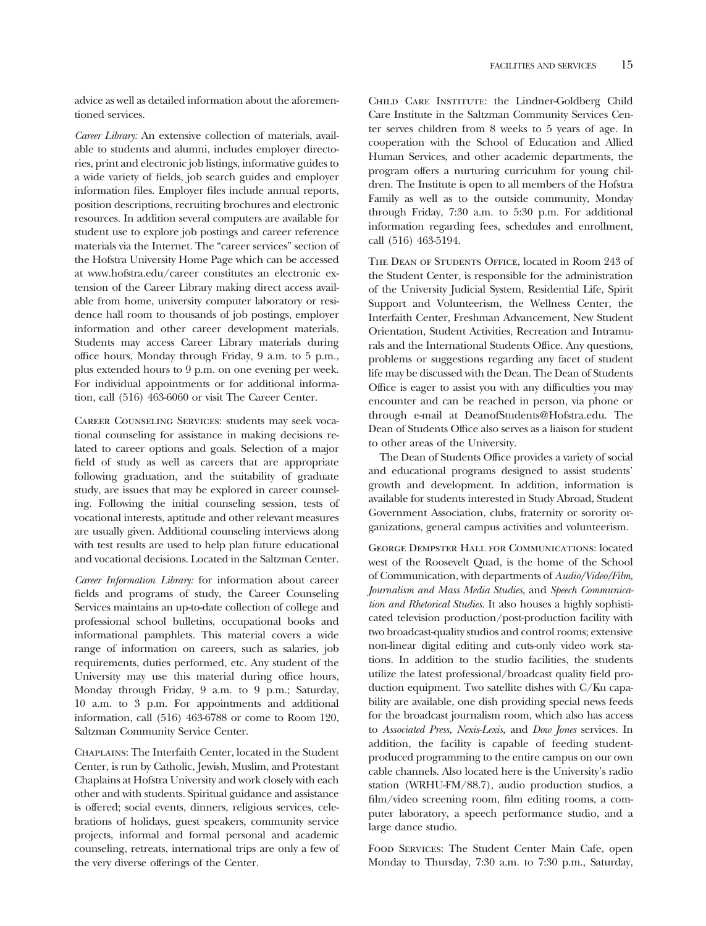advice as well as detailed information about the aforementioned services.

*Career Library:* An extensive collection of materials, available to students and alumni, includes employer directories, print and electronic job listings, informative guides to a wide variety of felds, job search guides and employer information fles. Employer fles include annual reports, position descriptions, recruiting brochures and electronic resources. In addition several computers are available for student use to explore job postings and career reference materials via the Internet. The "career services" section of the Hofstra University Home Page which can be accessed at www.hofstra.edu/career constitutes an electronic extension of the Career Library making direct access available from home, university computer laboratory or residence hall room to thousands of job postings, employer information and other career development materials. Students may access Career Library materials during office hours, Monday through Friday, 9 a.m. to 5 p.m., plus extended hours to 9 p.m. on one evening per week. For individual appointments or for additional information, call (516) 463-6060 or visit The Career Center.

Career Counseling Services: students may seek vocational counseling for assistance in making decisions related to career options and goals. Selection of a major feld of study as well as careers that are appropriate following graduation, and the suitability of graduate study, are issues that may be explored in career counseling. Following the initial counseling session, tests of vocational interests, aptitude and other relevant measures are usually given. Additional counseling interviews along with test results are used to help plan future educational and vocational decisions. Located in the Saltzman Center.

*Career Information Library:* for information about career felds and programs of study, the Career Counseling Services maintains an up-to-date collection of college and professional school bulletins, occupational books and informational pamphlets. This material covers a wide range of information on careers, such as salaries, job requirements, duties performed, etc. Any student of the University may use this material during office hours, Monday through Friday, 9 a.m. to 9 p.m.; Saturday, 10 a.m. to 3 p.m. For appointments and additional information, call (516) 463-6788 or come to Room 120, Saltzman Community Service Center.

Chaplains: The Interfaith Center, located in the Student Center, is run by Catholic, Jewish, Muslim, and Protestant Chaplains at Hofstra University and work closely with each other and with students. Spiritual guidance and assistance is offered; social events, dinners, religious services, celebrations of holidays, guest speakers, community service projects, informal and formal personal and academic counseling, retreats, international trips are only a few of the very diverse offerings of the Center.

Child Care Institute: the Lindner-Goldberg Child Care Institute in the Saltzman Community Services Center serves children from 8 weeks to 5 years of age. In cooperation with the School of Education and Allied Human Services, and other academic departments, the program offers a nurturing curriculum for young children. The Institute is open to all members of the Hofstra Family as well as to the outside community, Monday through Friday, 7:30 a.m. to 5:30 p.m. For additional information regarding fees, schedules and enrollment, call (516) 463-5194.

THE DEAN OF STUDENTS OFFICE, located in Room 243 of the Student Center, is responsible for the administration of the University Judicial System, Residential Life, Spirit Support and Volunteerism, the Wellness Center, the Interfaith Center, Freshman Advancement, New Student Orientation, Student Activities, Recreation and Intramurals and the International Students Office. Any questions, problems or suggestions regarding any facet of student life may be discussed with the Dean. The Dean of Students Offce is eager to assist you with any diffculties you may encounter and can be reached in person, via phone or through e-mail at DeanofStudents@Hofstra.edu. The Dean of Students Office also serves as a liaison for student to other areas of the University.

The Dean of Students Office provides a variety of social and educational programs designed to assist students' growth and development. In addition, information is available for students interested in Study Abroad, Student Government Association, clubs, fraternity or sorority organizations, general campus activities and volunteerism.

George Dempster Hall for Communications: located west of the Roosevelt Quad, is the home of the School of Communication, with departments of *Audio/Video/Film, Journalism and Mass Media Studies,* and *Speech Communication and Rhetorical Studies.* It also houses a highly sophisticated television production/post-production facility with two broadcast-quality studios and control rooms; extensive non-linear digital editing and cuts-only video work stations. In addition to the studio facilities, the students utilize the latest professional/broadcast quality feld production equipment. Two satellite dishes with C/Ku capability are available, one dish providing special news feeds for the broadcast journalism room, which also has access to *Associated Press, Nexis-Lexis,* and *Dow Jones* services. In addition, the facility is capable of feeding studentproduced programming to the entire campus on our own cable channels. Also located here is the University's radio station (WRHU-FM/88.7), audio production studios, a flm/video screening room, flm editing rooms, a computer laboratory, a speech performance studio, and a large dance studio.

Food Services: The Student Center Main Cafe, open Monday to Thursday, 7:30 a.m. to 7:30 p.m., Saturday,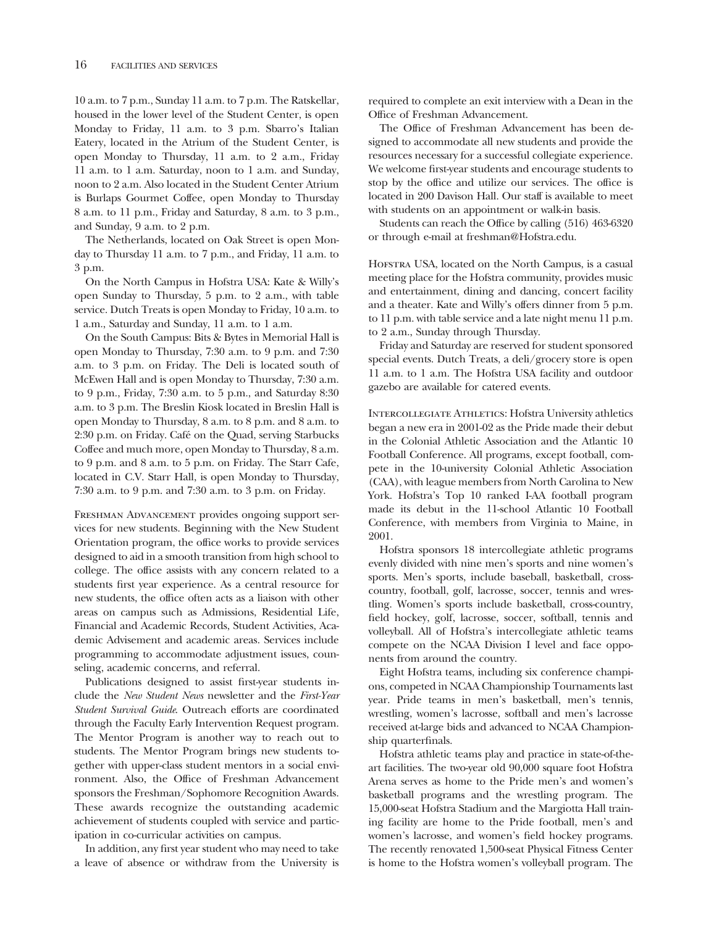10 a.m. to 7 p.m., Sunday 11 a.m. to 7 p.m. The Ratskellar, housed in the lower level of the Student Center, is open Monday to Friday, 11 a.m. to 3 p.m. Sbarro's Italian Eatery, located in the Atrium of the Student Center, is open Monday to Thursday, 11 a.m. to 2 a.m., Friday 11 a.m. to 1 a.m. Saturday, noon to 1 a.m. and Sunday, noon to 2 a.m. Also located in the Student Center Atrium is Burlaps Gourmet Coffee, open Monday to Thursday 8 a.m. to 11 p.m., Friday and Saturday, 8 a.m. to 3 p.m., and Sunday, 9 a.m. to 2 p.m.

The Netherlands, located on Oak Street is open Monday to Thursday 11 a.m. to 7 p.m., and Friday, 11 a.m. to 3 p.m.

On the North Campus in Hofstra USA: Kate & Willy's open Sunday to Thursday, 5 p.m. to 2 a.m., with table service. Dutch Treats is open Monday to Friday, 10 a.m. to 1 a.m., Saturday and Sunday, 11 a.m. to 1 a.m.

On the South Campus: Bits & Bytes in Memorial Hall is open Monday to Thursday, 7:30 a.m. to 9 p.m. and 7:30 a.m. to 3 p.m. on Friday. The Deli is located south of McEwen Hall and is open Monday to Thursday, 7:30 a.m. to 9 p.m., Friday, 7:30 a.m. to 5 p.m., and Saturday 8:30 a.m. to 3 p.m. The Breslin Kiosk located in Breslin Hall is open Monday to Thursday, 8 a.m. to 8 p.m. and 8 a.m. to 2:30 p.m. on Friday. Café on the Quad, serving Starbucks Coffee and much more, open Monday to Thursday, 8 a.m. to 9 p.m. and 8 a.m. to 5 p.m. on Friday. The Starr Cafe, located in C.V. Starr Hall, is open Monday to Thursday, 7:30 a.m. to 9 p.m. and 7:30 a.m. to 3 p.m. on Friday.

Freshman Advancement provides ongoing support services for new students. Beginning with the New Student Orientation program, the office works to provide services designed to aid in a smooth transition from high school to college. The office assists with any concern related to a students frst year experience. As a central resource for new students, the office often acts as a liaison with other areas on campus such as Admissions, Residential Life, Financial and Academic Records, Student Activities, Academic Advisement and academic areas. Services include programming to accommodate adjustment issues, counseling, academic concerns, and referral.

Publications designed to assist frst-year students include the *New Student News* newsletter and the *First-Year Student Survival Guide*. Outreach efforts are coordinated through the Faculty Early Intervention Request program. The Mentor Program is another way to reach out to students. The Mentor Program brings new students together with upper-class student mentors in a social environment. Also, the Office of Freshman Advancement sponsors the Freshman/Sophomore Recognition Awards. These awards recognize the outstanding academic achievement of students coupled with service and participation in co-curricular activities on campus.

In addition, any frst year student who may need to take a leave of absence or withdraw from the University is

required to complete an exit interview with a Dean in the Office of Freshman Advancement.

The Office of Freshman Advancement has been designed to accommodate all new students and provide the resources necessary for a successful collegiate experience. We welcome frst-year students and encourage students to stop by the office and utilize our services. The office is located in 200 Davison Hall. Our staff is available to meet with students on an appointment or walk-in basis.

Students can reach the Office by calling (516) 463-6320 or through e-mail at freshman@Hofstra.edu.

Hofstra USA, located on the North Campus, is a casual meeting place for the Hofstra community, provides music and entertainment, dining and dancing, concert facility and a theater. Kate and Willy's offers dinner from 5 p.m. to 11 p.m. with table service and a late night menu 11 p.m. to 2 a.m., Sunday through Thursday.

Friday and Saturday are reserved for student sponsored special events. Dutch Treats, a deli/grocery store is open 11 a.m. to 1 a.m. The Hofstra USA facility and outdoor gazebo are available for catered events.

INTERCOLLEGIATE ATHLETICS: Hofstra University athletics began a new era in 2001-02 as the Pride made their debut in the Colonial Athletic Association and the Atlantic 10 Football Conference. All programs, except football, compete in the 10-university Colonial Athletic Association (CAA), with league members from North Carolina to New York. Hofstra's Top 10 ranked I-AA football program made its debut in the 11-school Atlantic 10 Football Conference, with members from Virginia to Maine, in 2001.

Hofstra sponsors 18 intercollegiate athletic programs evenly divided with nine men's sports and nine women's sports. Men's sports, include baseball, basketball, crosscountry, football, golf, lacrosse, soccer, tennis and wrestling. Women's sports include basketball, cross-country, feld hockey, golf, lacrosse, soccer, softball, tennis and volleyball. All of Hofstra's intercollegiate athletic teams compete on the NCAA Division I level and face opponents from around the country.

Eight Hofstra teams, including six conference champions, competed in NCAA Championship Tournaments last year. Pride teams in men's basketball, men's tennis, wrestling, women's lacrosse, softball and men's lacrosse received at-large bids and advanced to NCAA Championship quarterfnals.

Hofstra athletic teams play and practice in state-of-theart facilities. The two-year old 90,000 square foot Hofstra Arena serves as home to the Pride men's and women's basketball programs and the wrestling program. The 15,000-seat Hofstra Stadium and the Margiotta Hall training facility are home to the Pride football, men's and women's lacrosse, and women's feld hockey programs. The recently renovated 1,500-seat Physical Fitness Center is home to the Hofstra women's volleyball program. The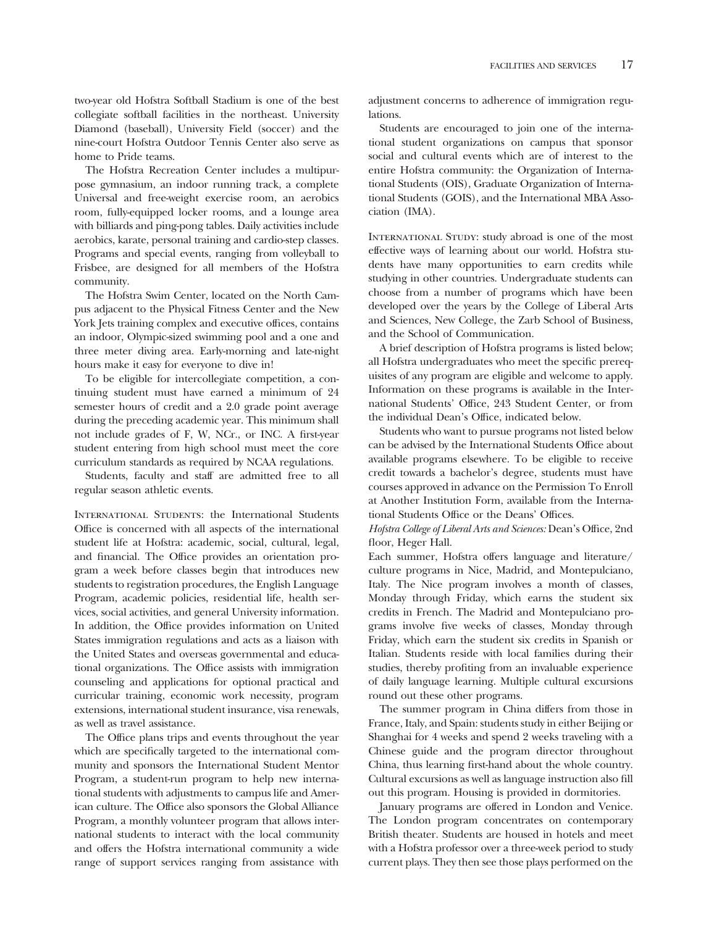two-year old Hofstra Softball Stadium is one of the best collegiate softball facilities in the northeast. University Diamond (baseball), University Field (soccer) and the nine-court Hofstra Outdoor Tennis Center also serve as home to Pride teams.

The Hofstra Recreation Center includes a multipurpose gymnasium, an indoor running track, a complete Universal and free-weight exercise room, an aerobics room, fully-equipped locker rooms, and a lounge area with billiards and ping-pong tables. Daily activities include aerobics, karate, personal training and cardio-step classes. Programs and special events, ranging from volleyball to Frisbee, are designed for all members of the Hofstra community.

The Hofstra Swim Center, located on the North Campus adjacent to the Physical Fitness Center and the New York Jets training complex and executive offices, contains an indoor, Olympic-sized swimming pool and a one and three meter diving area. Early-morning and late-night hours make it easy for everyone to dive in!

To be eligible for intercollegiate competition, a continuing student must have earned a minimum of 24 semester hours of credit and a 2.0 grade point average during the preceding academic year. This minimum shall not include grades of F, W, NCr., or INC. A frst-year student entering from high school must meet the core curriculum standards as required by NCAA regulations.

Students, faculty and staff are admitted free to all regular season athletic events.

International Students: the International Students Office is concerned with all aspects of the international student life at Hofstra: academic, social, cultural, legal, and financial. The Office provides an orientation program a week before classes begin that introduces new students to registration procedures, the English Language Program, academic policies, residential life, health services, social activities, and general University information. In addition, the Offce provides information on United States immigration regulations and acts as a liaison with the United States and overseas governmental and educational organizations. The Office assists with immigration counseling and applications for optional practical and curricular training, economic work necessity, program extensions, international student insurance, visa renewals, as well as travel assistance.

The Office plans trips and events throughout the year which are specifcally targeted to the international community and sponsors the International Student Mentor Program, a student-run program to help new international students with adjustments to campus life and American culture. The Office also sponsors the Global Alliance Program, a monthly volunteer program that allows international students to interact with the local community and offers the Hofstra international community a wide range of support services ranging from assistance with

adjustment concerns to adherence of immigration regulations.

Students are encouraged to join one of the international student organizations on campus that sponsor social and cultural events which are of interest to the entire Hofstra community: the Organization of International Students (OIS), Graduate Organization of International Students (GOIS), and the International MBA Association (IMA).

INTERNATIONAL STUDY: study abroad is one of the most effective ways of learning about our world. Hofstra students have many opportunities to earn credits while studying in other countries. Undergraduate students can choose from a number of programs which have been developed over the years by the College of Liberal Arts and Sciences, New College, the Zarb School of Business, and the School of Communication.

A brief description of Hofstra programs is listed below; all Hofstra undergraduates who meet the specifc prerequisites of any program are eligible and welcome to apply. Information on these programs is available in the International Students' Office, 243 Student Center, or from the individual Dean's Office, indicated below.

Students who want to pursue programs not listed below can be advised by the International Students Office about available programs elsewhere. To be eligible to receive credit towards a bachelor's degree, students must have courses approved in advance on the Permission To Enroll at Another Institution Form, available from the International Students Office or the Deans' Offices.

Hofstra College of Liberal Arts and Sciences: Dean's Office, 2nd floor, Heger Hall.

Each summer, Hofstra offers language and literature/ culture programs in Nice, Madrid, and Montepulciano, Italy. The Nice program involves a month of classes, Monday through Friday, which earns the student six credits in French. The Madrid and Montepulciano programs involve fve weeks of classes, Monday through Friday, which earn the student six credits in Spanish or Italian. Students reside with local families during their studies, thereby profting from an invaluable experience of daily language learning. Multiple cultural excursions round out these other programs.

The summer program in China differs from those in France, Italy, and Spain: students study in either Beijing or Shanghai for 4 weeks and spend 2 weeks traveling with a Chinese guide and the program director throughout China, thus learning frst-hand about the whole country. Cultural excursions as well as language instruction also fll out this program. Housing is provided in dormitories.

January programs are offered in London and Venice. The London program concentrates on contemporary British theater. Students are housed in hotels and meet with a Hofstra professor over a three-week period to study current plays. They then see those plays performed on the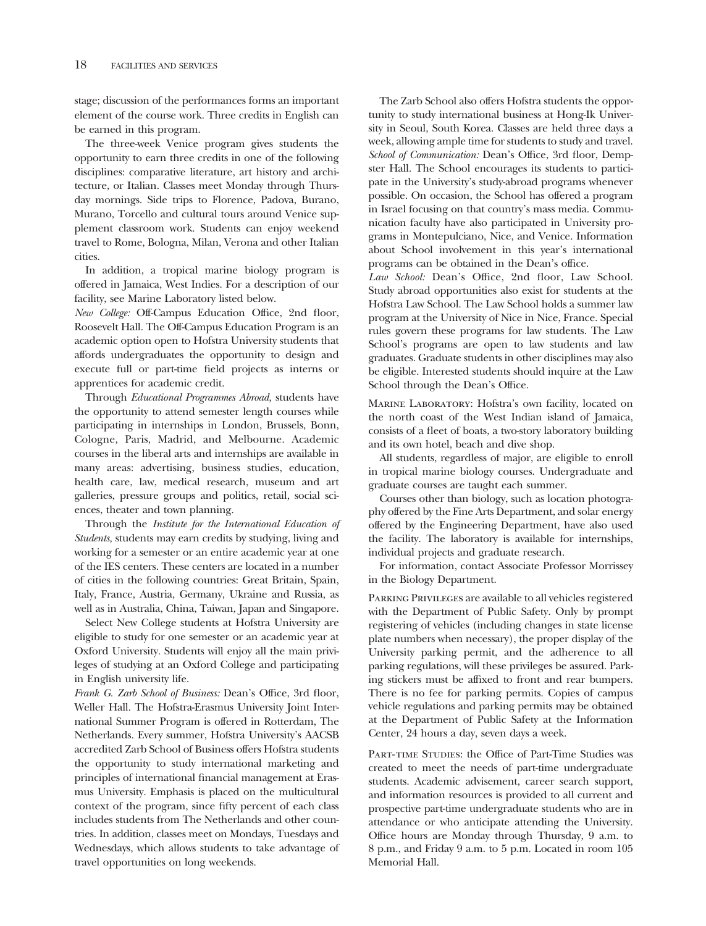stage; discussion of the performances forms an important element of the course work. Three credits in English can be earned in this program.

The three-week Venice program gives students the opportunity to earn three credits in one of the following disciplines: comparative literature, art history and architecture, or Italian. Classes meet Monday through Thursday mornings. Side trips to Florence, Padova, Burano, Murano, Torcello and cultural tours around Venice supplement classroom work. Students can enjoy weekend travel to Rome, Bologna, Milan, Verona and other Italian cities.

In addition, a tropical marine biology program is offered in Jamaica, West Indies. For a description of our facility, see Marine Laboratory listed below.

*New College:* Off-Campus Education Office, 2nd floor, Roosevelt Hall. The Off-Campus Education Program is an academic option open to Hofstra University students that affords undergraduates the opportunity to design and execute full or part-time feld projects as interns or apprentices for academic credit.

Through *Educational Programmes Abroad,* students have the opportunity to attend semester length courses while participating in internships in London, Brussels, Bonn, Cologne, Paris, Madrid, and Melbourne. Academic courses in the liberal arts and internships are available in many areas: advertising, business studies, education, health care, law, medical research, museum and art galleries, pressure groups and politics, retail, social sciences, theater and town planning.

Through the *Institute for the International Education of Students,* students may earn credits by studying, living and working for a semester or an entire academic year at one of the IES centers. These centers are located in a number of cities in the following countries: Great Britain, Spain, Italy, France, Austria, Germany, Ukraine and Russia, as well as in Australia, China, Taiwan, Japan and Singapore.

Select New College students at Hofstra University are eligible to study for one semester or an academic year at Oxford University. Students will enjoy all the main privileges of studying at an Oxford College and participating in English university life.

Frank G. Zarb School of Business: Dean's Office, 3rd floor, Weller Hall. The Hofstra-Erasmus University Joint International Summer Program is offered in Rotterdam, The Netherlands. Every summer, Hofstra University's AACSB accredited Zarb School of Business offers Hofstra students the opportunity to study international marketing and principles of international fnancial management at Erasmus University. Emphasis is placed on the multicultural context of the program, since ffty percent of each class includes students from The Netherlands and other countries. In addition, classes meet on Mondays, Tuesdays and Wednesdays, which allows students to take advantage of travel opportunities on long weekends.

The Zarb School also offers Hofstra students the opportunity to study international business at Hong-Ik University in Seoul, South Korea. Classes are held three days a week, allowing ample time for students to study and travel. *School of Communication: Dean's Office, 3rd floor, Demp*ster Hall. The School encourages its students to participate in the University's study-abroad programs whenever possible. On occasion, the School has offered a program in Israel focusing on that country's mass media. Communication faculty have also participated in University programs in Montepulciano, Nice, and Venice. Information about School involvement in this year's international programs can be obtained in the Dean's office.

Law School: Dean's Office, 2nd floor, Law School. Study abroad opportunities also exist for students at the Hofstra Law School. The Law School holds a summer law program at the University of Nice in Nice, France. Special rules govern these programs for law students. The Law School's programs are open to law students and law graduates. Graduate students in other disciplines may also be eligible. Interested students should inquire at the Law School through the Dean's Office.

Marine Laboratory: Hofstra's own facility, located on the north coast of the West Indian island of Jamaica, consists of a feet of boats, a two-story laboratory building and its own hotel, beach and dive shop.

All students, regardless of major, are eligible to enroll in tropical marine biology courses. Undergraduate and graduate courses are taught each summer.

Courses other than biology, such as location photography offered by the Fine Arts Department, and solar energy offered by the Engineering Department, have also used the facility. The laboratory is available for internships, individual projects and graduate research.

For information, contact Associate Professor Morrissey in the Biology Department.

Parking Privileges are available to all vehicles registered with the Department of Public Safety. Only by prompt registering of vehicles (including changes in state license plate numbers when necessary), the proper display of the University parking permit, and the adherence to all parking regulations, will these privileges be assured. Parking stickers must be affxed to front and rear bumpers. There is no fee for parking permits. Copies of campus vehicle regulations and parking permits may be obtained at the Department of Public Safety at the Information Center, 24 hours a day, seven days a week.

PART-TIME STUDIES: the Office of Part-Time Studies was created to meet the needs of part-time undergraduate students. Academic advisement, career search support, and information resources is provided to all current and prospective part-time undergraduate students who are in attendance or who anticipate attending the University. Office hours are Monday through Thursday, 9 a.m. to 8 p.m., and Friday 9 a.m. to 5 p.m. Located in room 105 Memorial Hall.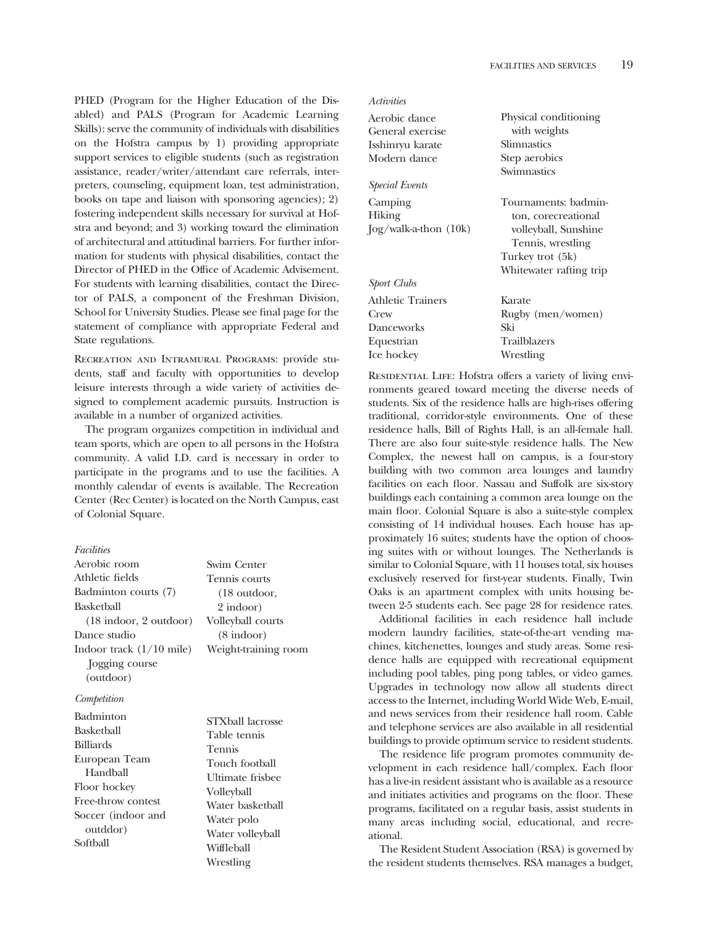PHED (Program for the Higher Education of the Disabled) and PALS (Program for Academic Learning Skills): serve the community of individuals with disabilities on the Hofstra campus by 1) providing appropriate support services to eligible students (such as registration assistance, reader/writer/attendant care referrals, interpreters, counseling, equipment loan, test administration, books on tape and liaison with sponsoring agencies); 2) fostering independent skills necessary for survival at Hofstra and beyond; and 3) working toward the elimination of architectural and attitudinal barriers. For further information for students with physical disabilities, contact the Director of PHED in the Office of Academic Advisement. For students with learning disabilities, contact the Director of PALS, a component of the Freshman Division, School for University Studies. Please see fnal page for the statement of compliance with appropriate Federal and State regulations.

Recreation and Intramural Programs: provide students, staff and faculty with opportunities to develop leisure interests through a wide variety of activities designed to complement academic pursuits. Instruction is available in a number of organized activities.

The program organizes competition in individual and team sports, which are open to all persons in the Hofstra community. A valid I.D. card is necessary in order to participate in the programs and to use the facilities. A monthly calendar of events is available. The Recreation Center (Rec Center) is located on the North Campus, east of Colonial Square.

#### *Facilities*

| Aerobic room                             | Swim Center            |
|------------------------------------------|------------------------|
| Athletic fields                          | Tennis courts          |
| Badminton courts (7)                     | $(18 \text{ outdoor})$ |
| Basketball                               | 2 indoor)              |
| $(18 \text{ indoor}, 2 \text{ outdoor})$ | Volleyball courts      |
| Dance studio                             | $(8 \text{ indoor})$   |
| Indoor track $(1/10 \text{ mile})$       | Weight-training room   |
| Jogging course                           |                        |
| (outdoor)                                |                        |
| Competition                              |                        |
| Badminton                                | $C(TX71 \t111$         |

| Daummun            | STXball lacrosse |
|--------------------|------------------|
| Basketball         | Table tennis     |
| <b>Billiards</b>   | <b>Tennis</b>    |
| European Team      | Touch football   |
| Handball           | Ultimate frisbee |
| Floor hockey       | Volleyball       |
| Free-throw contest | Water basketball |
| Soccer (indoor and | Water polo       |
| outddor)           | Water volleyball |
| Softball           |                  |
|                    | Wiffleball       |

STXball lacrosse Table tennis Touch football Ultimate frisbee Volleyball<br>Water basketball Wrestling

| Activities                                                         |                                                                                                                                         |
|--------------------------------------------------------------------|-----------------------------------------------------------------------------------------------------------------------------------------|
| Aerobic dance                                                      | Physical conditioning                                                                                                                   |
| General exercise                                                   | with weights                                                                                                                            |
| Isshinryu karate                                                   | Slimnastics                                                                                                                             |
| Modern dance                                                       | Step aerobics                                                                                                                           |
| <i>Special Events</i>                                              | Swimnastics                                                                                                                             |
| Camping<br>Hiking<br>$log/walk-a-thon (10k)$<br><b>Sport Clubs</b> | Tournaments: badmin-<br>ton, corecreational<br>volleyball, Sunshine<br>Tennis, wrestling<br>Turkey trot (5k)<br>Whitewater rafting trip |
| Athletic Trainers                                                  | Karate                                                                                                                                  |
| Crew                                                               | Rugby (men/women)                                                                                                                       |
| Danceworks                                                         | Ski                                                                                                                                     |
| Equestrian                                                         | <b>Trailblazers</b>                                                                                                                     |
| Ice hockey                                                         | Wrestling                                                                                                                               |

RESIDENTIAL LIFE: Hofstra offers a variety of living environments geared toward meeting the diverse needs of students. Six of the residence halls are high-rises offering traditional, corridor-style environments. One of these residence halls, Bill of Rights Hall, is an all-female hall. There are also four suite-style residence halls. The New Complex, the newest hall on campus, is a four-story building with two common area lounges and laundry facilities on each floor. Nassau and Suffolk are six-story buildings each containing a common area lounge on the main floor. Colonial Square is also a suite-style complex consisting of 14 individual houses. Each house has approximately 16 suites; students have the option of choosing suites with or without lounges. The Netherlands is similar to Colonial Square, with 11 houses total, six houses exclusively reserved for frst-year students. Finally, Twin Oaks is an apartment complex with units housing between 2-5 students each. See page 28 for residence rates.

Additional facilities in each residence hall include modern laundry facilities, state-of-the-art vending machines, kitchenettes, lounges and study areas. Some residence halls are equipped with recreational equipment including pool tables, ping pong tables, or video games. Upgrades in technology now allow all students direct access to the Internet, including World Wide Web, E-mail, and news services from their residence hall room. Cable and telephone services are also available in all residential buildings to provide optimum service to resident students.

The residence life program promotes community development in each residence hall/complex. Each floor has a live-in resident assistant who is available as a resource and initiates activities and programs on the floor. These programs, facilitated on a regular basis, assist students in many areas including social, educational, and recreational.

The Resident Student Association (RSA) is governed by the resident students themselves. RSA manages a budget,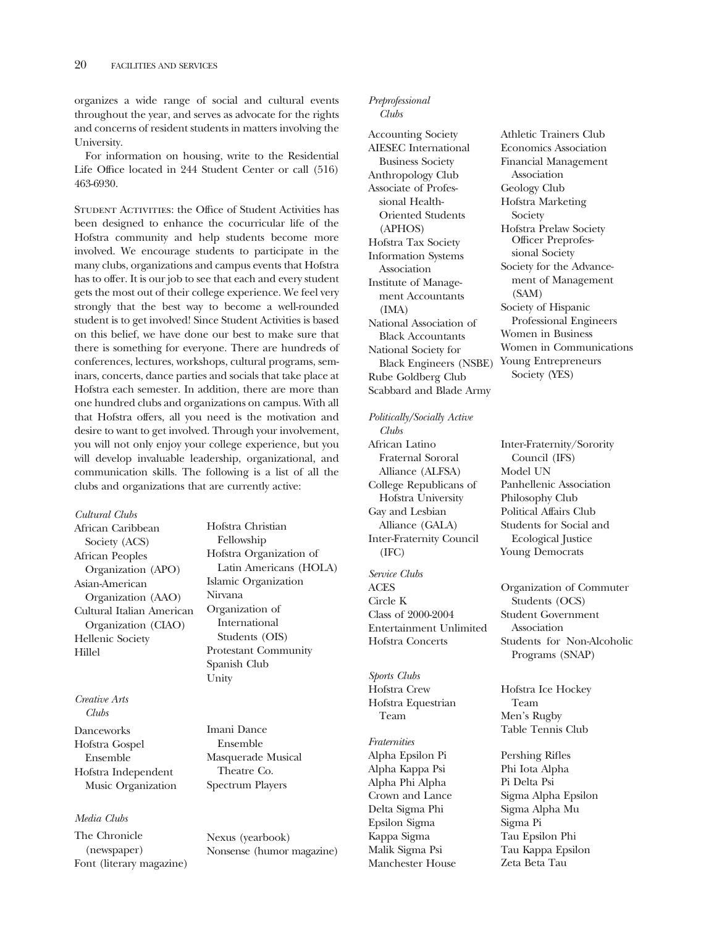organizes a wide range of social and cultural events throughout the year, and serves as advocate for the rights and concerns of resident students in matters involving the University.

For information on housing, write to the Residential Life Office located in 244 Student Center or call (516) 463-6930.

Student Activities: the Offce of Student Activities has been designed to enhance the cocurricular life of the Hofstra community and help students become more involved. We encourage students to participate in the many clubs, organizations and campus events that Hofstra has to offer. It is our job to see that each and every student gets the most out of their college experience. We feel very strongly that the best way to become a well-rounded student is to get involved! Since Student Activities is based on this belief, we have done our best to make sure that there is something for everyone. There are hundreds of conferences, lectures, workshops, cultural programs, seminars, concerts, dance parties and socials that take place at Hofstra each semester. In addition, there are more than one hundred clubs and organizations on campus. With all that Hofstra offers, all you need is the motivation and desire to want to get involved. Through your involvement, you will not only enjoy your college experience, but you will develop invaluable leadership, organizational, and communication skills. The following is a list of all the clubs and organizations that are currently active:

| Cultural Clubs            |
|---------------------------|
| African Caribbean         |
| Society (ACS)             |
| <b>African Peoples</b>    |
| Organization (APO)        |
| Asian-American            |
| Organization (AAO)        |
| Cultural Italian American |
| Organization (CIAO)       |
| <b>Hellenic Society</b>   |
| Hillel                    |

*Creative Arts Clubs*  Danceworks Imani Dance

Hofstra Gospel Ensemble Ensemble Masquerade Musical Hofstra Independent Theatre Co. Music Organization Spectrum Players

# *Media Clubs*

The Chronicle Nexus (yearbook) Font (literary magazine)

Hofstra Christian Fellowship Hofstra Organization of Latin Americans (HOLA) **Islamic Organization** Nirvana Organization of **International** Students (OIS) Protestant Community Spanish Club Unity

(newspaper) Nonsense (humor magazine)

#### *Preprofessional Clubs*

Accounting Society AIESEC International Business Society Anthropology Club Associate of Professional Health-Oriented Students (APHOS) Hofstra Tax Society Information Systems Association Institute of Management Accountants (IMA) National Association of Black Accountants National Society for Black Engineers (NSBE) Rube Goldberg Club Scabbard and Blade Army

#### *Politically/Socially Active*

*Clubs*  African Latino Fraternal Sororal Alliance (ALFSA) College Republicans of Hofstra University Gay and Lesbian Alliance (GALA) Inter-Fraternity Council (IFC)

*Service Clubs*  ACES Circle K Class of 2000-2004 Entertainment Unlimited Hofstra Concerts

*Sports Clubs*  Hofstra Crew Hofstra Equestrian Team

*Fraternities*  Alpha Epsilon Pi Alpha Kappa Psi Alpha Phi Alpha Crown and Lance Delta Sigma Phi Epsilon Sigma Kappa Sigma Malik Sigma Psi Manchester House

Athletic Trainers Club Economics Association Financial Management Association Geology Club Hofstra Marketing Society Hofstra Prelaw Society Officer Preprofessional Society Society for the Advancement of Management (SAM) Society of Hispanic Professional Engineers Women in Business Women in Communications Young Entrepreneurs Society (YES)

Inter-Fraternity/Sorority Council (IFS) Model UN Panhellenic Association Philosophy Club Political Affairs Club Students for Social and Ecological Justice Young Democrats

Organization of Commuter Students (OCS) Student Government Association Students for Non-Alcoholic Programs (SNAP)

Hofstra Ice Hockey Team Men's Rugby Table Tennis Club

Pershing Rifles Phi Iota Alpha Pi Delta Psi Sigma Alpha Epsilon Sigma Alpha Mu Sigma Pi Tau Epsilon Phi Tau Kappa Epsilon Zeta Beta Tau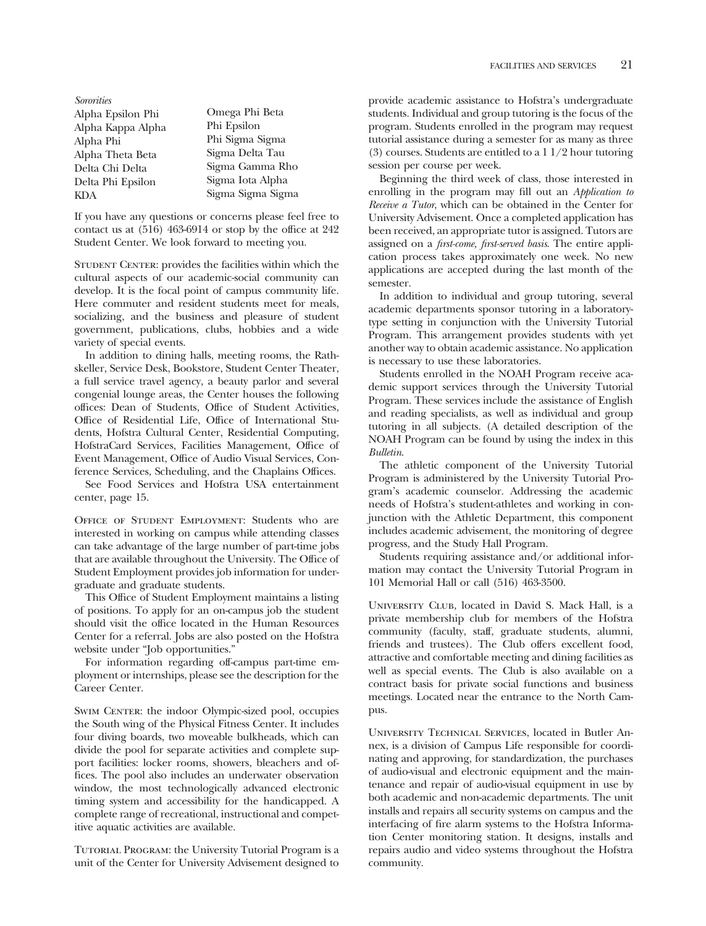*Sororities*  Alpha Epsilon Phi Omega Phi Beta Alpha Kappa Alpha Alpha Phi Phi Sigma Sigma Alpha Theta Beta Delta Chi Delta Sigma Gamma Rho Delta Phi Epsilon Sigma Iota Alpha KDA Sigma Sigma Sigma

If you have any questions or concerns please feel free to contact us at  $(516)$  463-6914 or stop by the office at 242 Student Center. We look forward to meeting you.

STUDENT CENTER: provides the facilities within which the cultural aspects of our academic-social community can develop. It is the focal point of campus community life. Here commuter and resident students meet for meals, socializing, and the business and pleasure of student government, publications, clubs, hobbies and a wide variety of special events.

In addition to dining halls, meeting rooms, the Rathskeller, Service Desk, Bookstore, Student Center Theater, a full service travel agency, a beauty parlor and several congenial lounge areas, the Center houses the following offices: Dean of Students, Office of Student Activities, Office of Residential Life, Office of International Students, Hofstra Cultural Center, Residential Computing, HofstraCard Services, Facilities Management, Office of Event Management, Office of Audio Visual Services, Conference Services, Scheduling, and the Chaplains Offices.

See Food Services and Hofstra USA entertainment center, page 15.

Office of Student Employment: Students who are interested in working on campus while attending classes can take advantage of the large number of part-time jobs that are available throughout the University. The Office of Student Employment provides job information for undergraduate and graduate students.

This Office of Student Employment maintains a listing of positions. To apply for an on-campus job the student should visit the offce located in the Human Resources Center for a referral. Jobs are also posted on the Hofstra website under "Job opportunities."

For information regarding off-campus part-time employment or internships, please see the description for the Career Center.

SWIM CENTER: the indoor Olympic-sized pool, occupies the South wing of the Physical Fitness Center. It includes four diving boards, two moveable bulkheads, which can divide the pool for separate activities and complete support facilities: locker rooms, showers, bleachers and offces. The pool also includes an underwater observation window, the most technologically advanced electronic timing system and accessibility for the handicapped. A complete range of recreational, instructional and competitive aquatic activities are available.

Tutorial Program: the University Tutorial Program is a unit of the Center for University Advisement designed to

provide academic assistance to Hofstra's undergraduate students. Individual and group tutoring is the focus of the program. Students enrolled in the program may request tutorial assistance during a semester for as many as three (3) courses. Students are entitled to a 1 1/2 hour tutoring session per course per week.

Beginning the third week of class, those interested in enrolling in the program may fll out an *Application to Receive a Tutor*, which can be obtained in the Center for University Advisement. Once a completed application has been received, an appropriate tutor is assigned. Tutors are assigned on a *first-come, first-served basis*. The entire application process takes approximately one week. No new applications are accepted during the last month of the semester.

In addition to individual and group tutoring, several academic departments sponsor tutoring in a laboratorytype setting in conjunction with the University Tutorial Program. This arrangement provides students with yet another way to obtain academic assistance. No application is necessary to use these laboratories.

Students enrolled in the NOAH Program receive academic support services through the University Tutorial Program. These services include the assistance of English and reading specialists, as well as individual and group tutoring in all subjects. (A detailed description of the NOAH Program can be found by using the index in this *Bulletin*.

The athletic component of the University Tutorial Program is administered by the University Tutorial Program's academic counselor. Addressing the academic needs of Hofstra's student-athletes and working in conjunction with the Athletic Department, this component includes academic advisement, the monitoring of degree progress, and the Study Hall Program.

Students requiring assistance and/or additional information may contact the University Tutorial Program in 101 Memorial Hall or call (516) 463-3500.

University Club, located in David S. Mack Hall, is a private membership club for members of the Hofstra community (faculty, staff, graduate students, alumni, friends and trustees). The Club offers excellent food, attractive and comfortable meeting and dining facilities as well as special events. The Club is also available on a contract basis for private social functions and business meetings. Located near the entrance to the North Campus.

University Technical Services, located in Butler Annex, is a division of Campus Life responsible for coordinating and approving, for standardization, the purchases of audio-visual and electronic equipment and the maintenance and repair of audio-visual equipment in use by both academic and non-academic departments. The unit installs and repairs all security systems on campus and the interfacing of fre alarm systems to the Hofstra Information Center monitoring station. It designs, installs and repairs audio and video systems throughout the Hofstra community.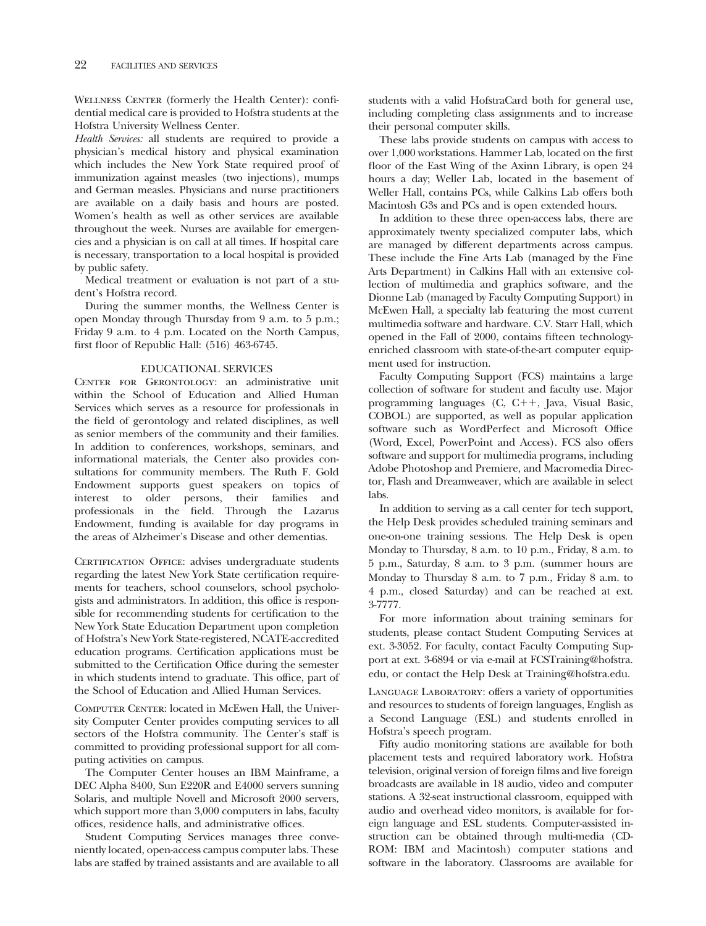WELLNESS CENTER (formerly the Health Center): confidential medical care is provided to Hofstra students at the Hofstra University Wellness Center.

*Health Services:* all students are required to provide a physician's medical history and physical examination which includes the New York State required proof of immunization against measles (two injections), mumps and German measles. Physicians and nurse practitioners are available on a daily basis and hours are posted. Women's health as well as other services are available throughout the week. Nurses are available for emergencies and a physician is on call at all times. If hospital care is necessary, transportation to a local hospital is provided by public safety.

Medical treatment or evaluation is not part of a student's Hofstra record.

During the summer months, the Wellness Center is open Monday through Thursday from 9 a.m. to 5 p.m.; Friday 9 a.m. to 4 p.m. Located on the North Campus, first floor of Republic Hall:  $(516)$  463-6745.

### EDUCATIONAL SERVICES

CENTER FOR GERONTOLOGY: an administrative unit within the School of Education and Allied Human Services which serves as a resource for professionals in the feld of gerontology and related disciplines, as well as senior members of the community and their families. In addition to conferences, workshops, seminars, and informational materials, the Center also provides consultations for community members. The Ruth F. Gold Endowment supports guest speakers on topics of interest to older persons, their families and professionals in the feld. Through the Lazarus Endowment, funding is available for day programs in the areas of Alzheimer's Disease and other dementias.

CERTIFICATION OFFICE: advises undergraduate students regarding the latest New York State certifcation requirements for teachers, school counselors, school psychologists and administrators. In addition, this office is responsible for recommending students for certifcation to the New York State Education Department upon completion of Hofstra's New York State-registered, NCATE-accredited education programs. Certifcation applications must be submitted to the Certification Office during the semester in which students intend to graduate. This office, part of the School of Education and Allied Human Services.

COMPUTER CENTER: located in McEwen Hall, the University Computer Center provides computing services to all sectors of the Hofstra community. The Center's staff is committed to providing professional support for all computing activities on campus.

The Computer Center houses an IBM Mainframe, a DEC Alpha 8400, Sun E220R and E4000 servers sunning Solaris, and multiple Novell and Microsoft 2000 servers, which support more than 3,000 computers in labs, faculty offices, residence halls, and administrative offices.

Student Computing Services manages three conveniently located, open-access campus computer labs. These labs are staffed by trained assistants and are available to all

students with a valid HofstraCard both for general use, including completing class assignments and to increase their personal computer skills.

These labs provide students on campus with access to over 1,000 workstations. Hammer Lab, located on the frst floor of the East Wing of the Axinn Library, is open 24 hours a day; Weller Lab, located in the basement of Weller Hall, contains PCs, while Calkins Lab offers both Macintosh G3s and PCs and is open extended hours.

In addition to these three open-access labs, there are approximately twenty specialized computer labs, which are managed by different departments across campus. These include the Fine Arts Lab (managed by the Fine Arts Department) in Calkins Hall with an extensive collection of multimedia and graphics software, and the Dionne Lab (managed by Faculty Computing Support) in McEwen Hall, a specialty lab featuring the most current multimedia software and hardware. C.V. Starr Hall, which opened in the Fall of 2000, contains ffteen technologyenriched classroom with state-of-the-art computer equipment used for instruction.

Faculty Computing Support (FCS) maintains a large collection of software for student and faculty use. Major programming languages  $(C, C++, Java, Visual Basic,$ COBOL) are supported, as well as popular application software such as WordPerfect and Microsoft Office (Word, Excel, PowerPoint and Access). FCS also offers software and support for multimedia programs, including Adobe Photoshop and Premiere, and Macromedia Director, Flash and Dreamweaver, which are available in select labs.

In addition to serving as a call center for tech support, the Help Desk provides scheduled training seminars and one-on-one training sessions. The Help Desk is open Monday to Thursday, 8 a.m. to 10 p.m., Friday, 8 a.m. to 5 p.m., Saturday, 8 a.m. to 3 p.m. (summer hours are Monday to Thursday 8 a.m. to 7 p.m., Friday 8 a.m. to 4 p.m., closed Saturday) and can be reached at ext. 3-7777.

For more information about training seminars for students, please contact Student Computing Services at ext. 3-3052. For faculty, contact Faculty Computing Support at ext. 3-6894 or via e-mail at FCSTraining@hofstra. edu, or contact the Help Desk at Training@hofstra.edu.

Language Laboratory: offers a variety of opportunities and resources to students of foreign languages, English as a Second Language (ESL) and students enrolled in Hofstra's speech program.

Fifty audio monitoring stations are available for both placement tests and required laboratory work. Hofstra television, original version of foreign flms and live foreign broadcasts are available in 18 audio, video and computer stations. A 32-seat instructional classroom, equipped with audio and overhead video monitors, is available for foreign language and ESL students. Computer-assisted instruction can be obtained through multi-media (CD-ROM: IBM and Macintosh) computer stations and software in the laboratory. Classrooms are available for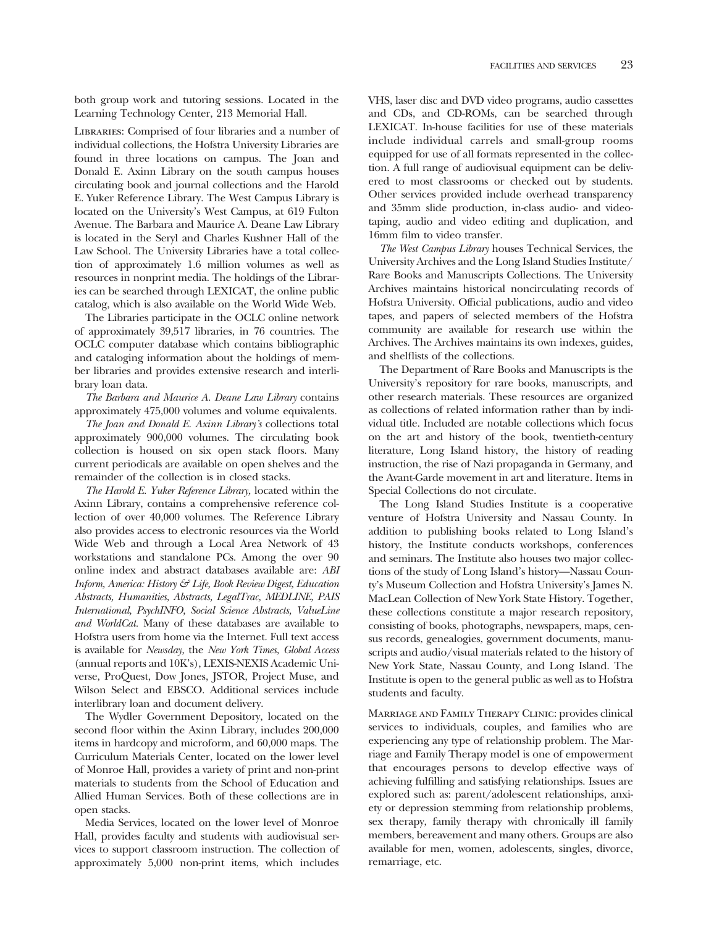both group work and tutoring sessions. Located in the Learning Technology Center, 213 Memorial Hall.

Libraries: Comprised of four libraries and a number of individual collections, the Hofstra University Libraries are found in three locations on campus. The Joan and Donald E. Axinn Library on the south campus houses circulating book and journal collections and the Harold E. Yuker Reference Library. The West Campus Library is located on the University's West Campus, at 619 Fulton Avenue. The Barbara and Maurice A. Deane Law Library is located in the Seryl and Charles Kushner Hall of the Law School. The University Libraries have a total collection of approximately 1.6 million volumes as well as resources in nonprint media. The holdings of the Libraries can be searched through LEXICAT, the online public catalog, which is also available on the World Wide Web.

The Libraries participate in the OCLC online network of approximately 39,517 libraries, in 76 countries. The OCLC computer database which contains bibliographic and cataloging information about the holdings of member libraries and provides extensive research and interlibrary loan data.

*The Barbara and Maurice A. Deane Law Library* contains approximately 475,000 volumes and volume equivalents.

*The Joan and Donald E. Axinn Library's* collections total approximately 900,000 volumes. The circulating book collection is housed on six open stack floors. Many current periodicals are available on open shelves and the remainder of the collection is in closed stacks.

*The Harold E. Yuker Reference Library,* located within the Axinn Library, contains a comprehensive reference collection of over 40,000 volumes. The Reference Library also provides access to electronic resources via the World Wide Web and through a Local Area Network of 43 workstations and standalone PCs. Among the over 90 online index and abstract databases available are: *ABI Inform, America: History & Life, Book Review Digest, Education Abstracts, Humanities, Abstracts, LegalTrac, MEDLINE, PAIS International, PsychINFO, Social Science Abstracts, ValueLine and WorldCat.* Many of these databases are available to Hofstra users from home via the Internet. Full text access is available for *Newsday,* the *New York Times, Global Access*  (annual reports and 10K's), LEXIS-NEXIS Academic Universe, ProQuest, Dow Jones, JSTOR, Project Muse, and Wilson Select and EBSCO. Additional services include interlibrary loan and document delivery.

The Wydler Government Depository, located on the second floor within the Axinn Library, includes 200,000 items in hardcopy and microform, and 60,000 maps. The Curriculum Materials Center, located on the lower level of Monroe Hall, provides a variety of print and non-print materials to students from the School of Education and Allied Human Services. Both of these collections are in open stacks.

Media Services, located on the lower level of Monroe Hall, provides faculty and students with audiovisual services to support classroom instruction. The collection of approximately 5,000 non-print items, which includes

VHS, laser disc and DVD video programs, audio cassettes and CDs, and CD-ROMs, can be searched through LEXICAT. In-house facilities for use of these materials include individual carrels and small-group rooms equipped for use of all formats represented in the collection. A full range of audiovisual equipment can be delivered to most classrooms or checked out by students. Other services provided include overhead transparency and 35mm slide production, in-class audio- and videotaping, audio and video editing and duplication, and 16mm flm to video transfer.

*The West Campus Library* houses Technical Services, the University Archives and the Long Island Studies Institute/ Rare Books and Manuscripts Collections. The University Archives maintains historical noncirculating records of Hofstra University. Offcial publications, audio and video tapes, and papers of selected members of the Hofstra community are available for research use within the Archives. The Archives maintains its own indexes, guides, and shelfists of the collections.

The Department of Rare Books and Manuscripts is the University's repository for rare books, manuscripts, and other research materials. These resources are organized as collections of related information rather than by individual title. Included are notable collections which focus on the art and history of the book, twentieth-century literature, Long Island history, the history of reading instruction, the rise of Nazi propaganda in Germany, and the Avant-Garde movement in art and literature. Items in Special Collections do not circulate.

The Long Island Studies Institute is a cooperative venture of Hofstra University and Nassau County. In addition to publishing books related to Long Island's history, the Institute conducts workshops, conferences and seminars. The Institute also houses two major collections of the study of Long Island's history—Nassau County's Museum Collection and Hofstra University's James N. MacLean Collection of New York State History. Together, these collections constitute a major research repository, consisting of books, photographs, newspapers, maps, census records, genealogies, government documents, manuscripts and audio/visual materials related to the history of New York State, Nassau County, and Long Island. The Institute is open to the general public as well as to Hofstra students and faculty.

Marriage and Family Therapy Clinic: provides clinical services to individuals, couples, and families who are experiencing any type of relationship problem. The Marriage and Family Therapy model is one of empowerment that encourages persons to develop effective ways of achieving fulflling and satisfying relationships. Issues are explored such as: parent/adolescent relationships, anxiety or depression stemming from relationship problems, sex therapy, family therapy with chronically ill family members, bereavement and many others. Groups are also available for men, women, adolescents, singles, divorce, remarriage, etc.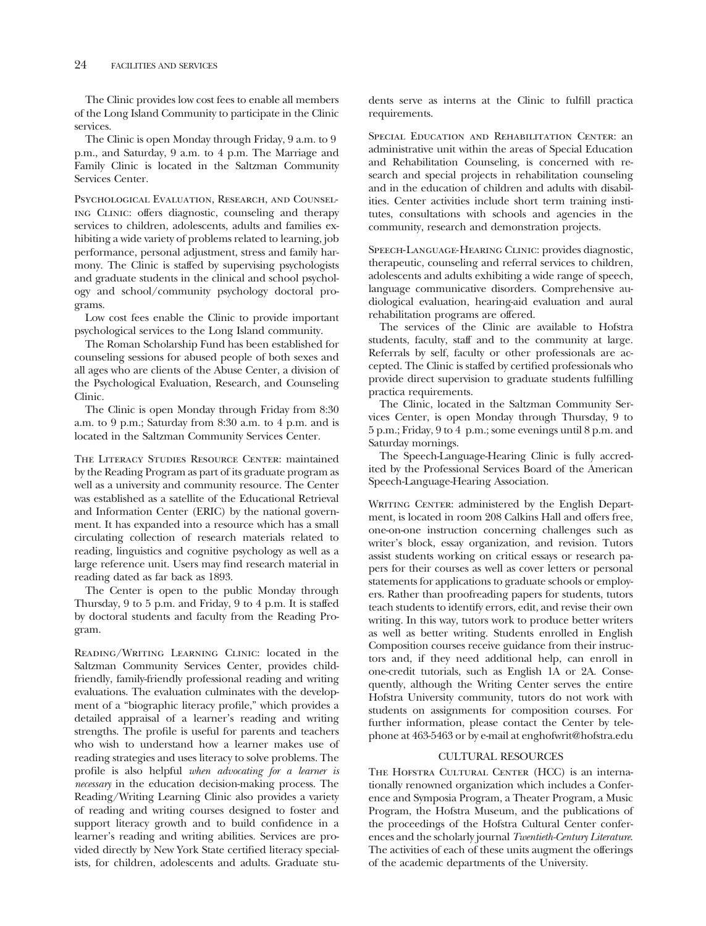The Clinic provides low cost fees to enable all members of the Long Island Community to participate in the Clinic services.

The Clinic is open Monday through Friday, 9 a.m. to 9 p.m., and Saturday, 9 a.m. to 4 p.m. The Marriage and Family Clinic is located in the Saltzman Community Services Center.

Psychological Evaluation, Research, and Counseling Clinic: offers diagnostic, counseling and therapy services to children, adolescents, adults and families exhibiting a wide variety of problems related to learning, job performance, personal adjustment, stress and family harmony. The Clinic is staffed by supervising psychologists and graduate students in the clinical and school psychology and school/community psychology doctoral programs.

Low cost fees enable the Clinic to provide important psychological services to the Long Island community.

The Roman Scholarship Fund has been established for counseling sessions for abused people of both sexes and all ages who are clients of the Abuse Center, a division of the Psychological Evaluation, Research, and Counseling Clinic.

The Clinic is open Monday through Friday from 8:30 a.m. to 9 p.m.; Saturday from 8:30 a.m. to 4 p.m. and is located in the Saltzman Community Services Center.

THE LITERACY STUDIES RESOURCE CENTER: maintained by the Reading Program as part of its graduate program as well as a university and community resource. The Center was established as a satellite of the Educational Retrieval and Information Center (ERIC) by the national government. It has expanded into a resource which has a small circulating collection of research materials related to reading, linguistics and cognitive psychology as well as a large reference unit. Users may fnd research material in reading dated as far back as 1893.

The Center is open to the public Monday through Thursday, 9 to 5 p.m. and Friday, 9 to 4 p.m. It is staffed by doctoral students and faculty from the Reading Program.

Reading/Writing Learning Clinic: located in the Saltzman Community Services Center, provides childfriendly, family-friendly professional reading and writing evaluations. The evaluation culminates with the development of a "biographic literacy profle," which provides a detailed appraisal of a learner's reading and writing strengths. The profle is useful for parents and teachers who wish to understand how a learner makes use of reading strategies and uses literacy to solve problems. The profle is also helpful *when advocating for a learner is necessary* in the education decision-making process. The Reading/Writing Learning Clinic also provides a variety of reading and writing courses designed to foster and support literacy growth and to build confdence in a learner's reading and writing abilities. Services are provided directly by New York State certifed literacy specialists, for children, adolescents and adults. Graduate students serve as interns at the Clinic to fulfll practica requirements.

Special Education and Rehabilitation Center: an administrative unit within the areas of Special Education and Rehabilitation Counseling, is concerned with research and special projects in rehabilitation counseling and in the education of children and adults with disabilities. Center activities include short term training institutes, consultations with schools and agencies in the community, research and demonstration projects.

Speech-Language-Hearing Clinic: provides diagnostic, therapeutic, counseling and referral services to children, adolescents and adults exhibiting a wide range of speech, language communicative disorders. Comprehensive audiological evaluation, hearing-aid evaluation and aural rehabilitation programs are offered.

The services of the Clinic are available to Hofstra students, faculty, staff and to the community at large. Referrals by self, faculty or other professionals are accepted. The Clinic is staffed by certifed professionals who provide direct supervision to graduate students fulflling practica requirements.

The Clinic, located in the Saltzman Community Services Center, is open Monday through Thursday, 9 to 5 p.m.; Friday, 9 to 4 p.m.; some evenings until 8 p.m. and Saturday mornings.

The Speech-Language-Hearing Clinic is fully accredited by the Professional Services Board of the American Speech-Language-Hearing Association.

WRITING CENTER: administered by the English Department, is located in room 208 Calkins Hall and offers free, one-on-one instruction concerning challenges such as writer's block, essay organization, and revision. Tutors assist students working on critical essays or research papers for their courses as well as cover letters or personal statements for applications to graduate schools or employers. Rather than proofreading papers for students, tutors teach students to identify errors, edit, and revise their own writing. In this way, tutors work to produce better writers as well as better writing. Students enrolled in English Composition courses receive guidance from their instructors and, if they need additional help, can enroll in one-credit tutorials, such as English 1A or 2A. Consequently, although the Writing Center serves the entire Hofstra University community, tutors do not work with students on assignments for composition courses. For further information, please contact the Center by telephone at 463-5463 or by e-mail at enghofwrit@hofstra.edu

# CULTURAL RESOURCES

THE HOFSTRA CULTURAL CENTER (HCC) is an internationally renowned organization which includes a Conference and Symposia Program, a Theater Program, a Music Program, the Hofstra Museum, and the publications of the proceedings of the Hofstra Cultural Center conferences and the scholarly journal *Twentieth-Century Literature*. The activities of each of these units augment the offerings of the academic departments of the University.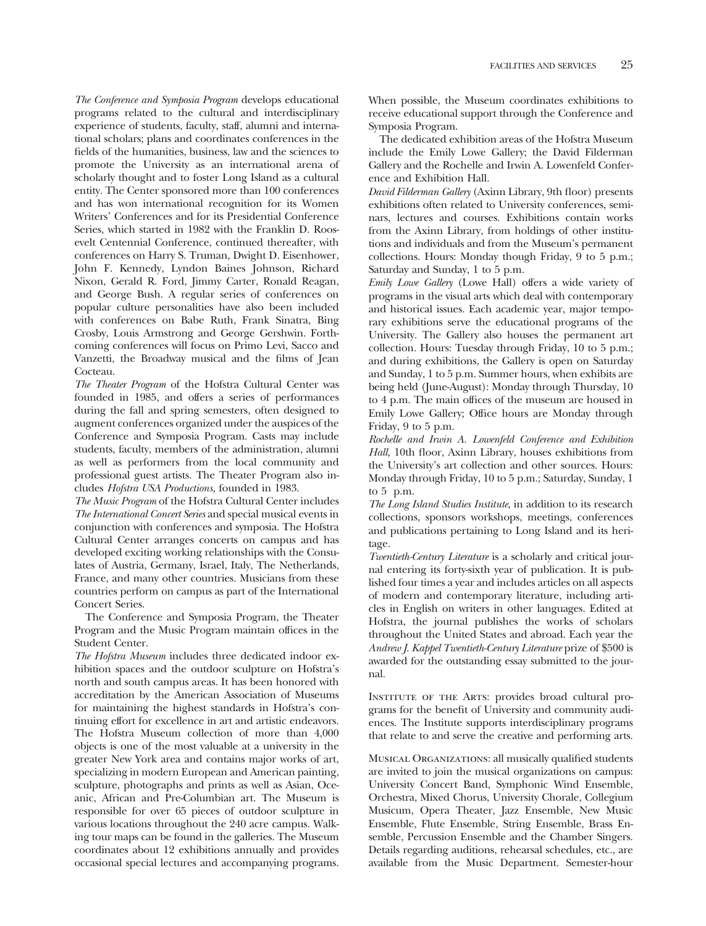*The Conference and Symposia Program* develops educational programs related to the cultural and interdisciplinary experience of students, faculty, staff, alumni and international scholars; plans and coordinates conferences in the felds of the humanities, business, law and the sciences to promote the University as an international arena of scholarly thought and to foster Long Island as a cultural entity. The Center sponsored more than 100 conferences and has won international recognition for its Women Writers' Conferences and for its Presidential Conference Series, which started in 1982 with the Franklin D. Roosevelt Centennial Conference, continued thereafter, with conferences on Harry S. Truman, Dwight D. Eisenhower, John F. Kennedy, Lyndon Baines Johnson, Richard Nixon, Gerald R. Ford, Jimmy Carter, Ronald Reagan, and George Bush. A regular series of conferences on popular culture personalities have also been included with conferences on Babe Ruth, Frank Sinatra, Bing Crosby, Louis Armstrong and George Gershwin. Forthcoming conferences will focus on Primo Levi, Sacco and Vanzetti, the Broadway musical and the flms of Jean Cocteau.

*The Theater Program* of the Hofstra Cultural Center was founded in 1985, and offers a series of performances during the fall and spring semesters, often designed to augment conferences organized under the auspices of the Conference and Symposia Program. Casts may include students, faculty, members of the administration, alumni as well as performers from the local community and professional guest artists. The Theater Program also includes *Hofstra USA Productions,* founded in 1983.

*The Music Program* of the Hofstra Cultural Center includes *The International Concert Series* and special musical events in conjunction with conferences and symposia. The Hofstra Cultural Center arranges concerts on campus and has developed exciting working relationships with the Consulates of Austria, Germany, Israel, Italy, The Netherlands, France, and many other countries. Musicians from these countries perform on campus as part of the International Concert Series.

The Conference and Symposia Program, the Theater Program and the Music Program maintain offices in the Student Center.

*The Hofstra Museum* includes three dedicated indoor exhibition spaces and the outdoor sculpture on Hofstra's north and south campus areas. It has been honored with accreditation by the American Association of Museums for maintaining the highest standards in Hofstra's continuing effort for excellence in art and artistic endeavors. The Hofstra Museum collection of more than 4,000 objects is one of the most valuable at a university in the greater New York area and contains major works of art, specializing in modern European and American painting, sculpture, photographs and prints as well as Asian, Oceanic, African and Pre-Columbian art. The Museum is responsible for over 65 pieces of outdoor sculpture in various locations throughout the 240 acre campus. Walking tour maps can be found in the galleries. The Museum coordinates about 12 exhibitions annually and provides occasional special lectures and accompanying programs.

When possible, the Museum coordinates exhibitions to receive educational support through the Conference and Symposia Program.

The dedicated exhibition areas of the Hofstra Museum include the Emily Lowe Gallery; the David Filderman Gallery and the Rochelle and Irwin A. Lowenfeld Conference and Exhibition Hall.

David Filderman Gallery (Axinn Library, 9th floor) presents exhibitions often related to University conferences, seminars, lectures and courses. Exhibitions contain works from the Axinn Library, from holdings of other institutions and individuals and from the Museum's permanent collections. Hours: Monday though Friday, 9 to 5 p.m.; Saturday and Sunday, 1 to 5 p.m.

*Emily Lowe Gallery* (Lowe Hall) offers a wide variety of programs in the visual arts which deal with contemporary and historical issues. Each academic year, major temporary exhibitions serve the educational programs of the University. The Gallery also houses the permanent art collection. Hours: Tuesday through Friday, 10 to 5 p.m.; and during exhibitions, the Gallery is open on Saturday and Sunday, 1 to 5 p.m. Summer hours, when exhibits are being held (June-August): Monday through Thursday, 10 to 4 p.m. The main offices of the museum are housed in Emily Lowe Gallery; Office hours are Monday through Friday, 9 to 5 p.m.

*Rochelle and Irwin A. Lowenfeld Conference and Exhibition*  Hall, 10th floor, Axinn Library, houses exhibitions from the University's art collection and other sources. Hours: Monday through Friday, 10 to 5 p.m.; Saturday, Sunday, 1 to 5 p.m.

*The Long Island Studies Institute*, in addition to its research collections, sponsors workshops, meetings, conferences and publications pertaining to Long Island and its heritage.

*Twentieth-Century Literature* is a scholarly and critical journal entering its forty-sixth year of publication. It is published four times a year and includes articles on all aspects of modern and contemporary literature, including articles in English on writers in other languages. Edited at Hofstra, the journal publishes the works of scholars throughout the United States and abroad. Each year the *Andrew J. Kappel Twentieth-Century Literature* prize of \$500 is awarded for the outstanding essay submitted to the journal.

Institute of the Arts: provides broad cultural programs for the beneft of University and community audiences. The Institute supports interdisciplinary programs that relate to and serve the creative and performing arts.

Musical Organizations: all musically qualifed students are invited to join the musical organizations on campus: University Concert Band, Symphonic Wind Ensemble, Orchestra, Mixed Chorus, University Chorale, Collegium Musicum, Opera Theater, Jazz Ensemble, New Music Ensemble, Flute Ensemble, String Ensemble, Brass Ensemble, Percussion Ensemble and the Chamber Singers. Details regarding auditions, rehearsal schedules, etc., are available from the Music Department. Semester-hour